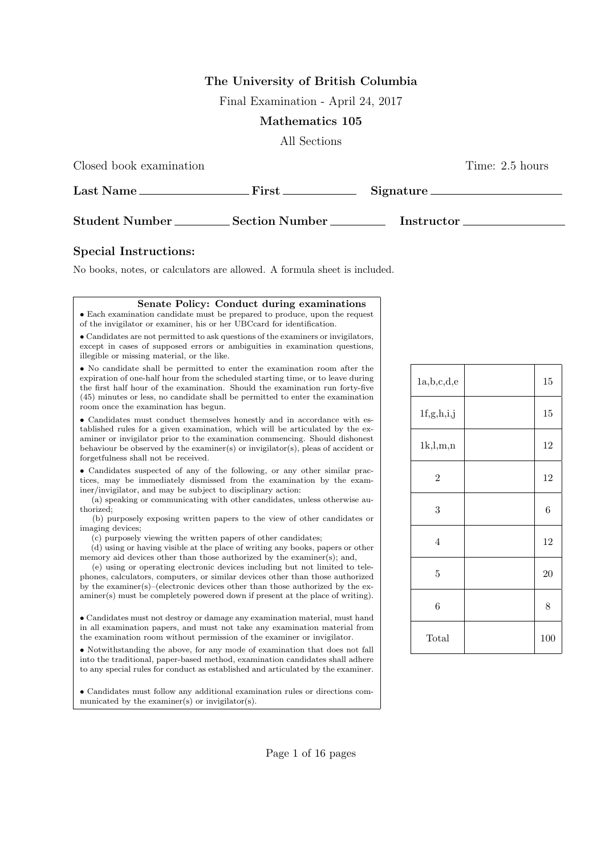# The University of British Columbia

Final Examination - April 24, 2017

#### Mathematics 105

All Sections

Closed book examination Time: 2.5 hours

| Last Name.            | First                 | Signature.        |
|-----------------------|-----------------------|-------------------|
| <b>Student Number</b> | <b>Section Number</b> | <b>Instructor</b> |

### Special Instructions:

No books, notes, or calculators are allowed. A formula sheet is included.

| Senate Policy: Conduct during examinations                                                                                                                                                                                                                                                                                                                                                                                                                                                                                                                                          |
|-------------------------------------------------------------------------------------------------------------------------------------------------------------------------------------------------------------------------------------------------------------------------------------------------------------------------------------------------------------------------------------------------------------------------------------------------------------------------------------------------------------------------------------------------------------------------------------|
| • Each examination candidate must be prepared to produce, upon the request<br>of the invigilator or examiner, his or her UBCcard for identification.                                                                                                                                                                                                                                                                                                                                                                                                                                |
| • Candidates are not permitted to ask questions of the examiners or invigilators,<br>except in cases of supposed errors or ambiguities in examination questions,<br>illegible or missing material, or the like.                                                                                                                                                                                                                                                                                                                                                                     |
| • No candidate shall be permitted to enter the examination room after the<br>expiration of one-half hour from the scheduled starting time, or to leave during<br>the first half hour of the examination. Should the examination run forty-five<br>(45) minutes or less, no candidate shall be permitted to enter the examination<br>room once the examination has begun.                                                                                                                                                                                                            |
| • Candidates must conduct themselves honestly and in accordance with es-<br>tablished rules for a given examination, which will be articulated by the ex-<br>aminer or invigilator prior to the examination commencing. Should dishonest<br>behaviour be observed by the examiner(s) or invigilator(s), pleas of accident or<br>forgetfulness shall not be received.                                                                                                                                                                                                                |
| • Candidates suspected of any of the following, or any other similar prac-<br>tices, may be immediately dismissed from the examination by the exam-<br>iner/invigilator, and may be subject to disciplinary action:<br>(a) speaking or communicating with other candidates, unless otherwise au-<br>thorized;<br>(b) purposely exposing written papers to the view of other candidates or                                                                                                                                                                                           |
| imaging devices;<br>(c) purposely viewing the written papers of other candidates;<br>(d) using or having visible at the place of writing any books, papers or other<br>memory aid devices other than those authorized by the examiner(s); and,<br>(e) using or operating electronic devices including but not limited to tele-<br>phones, calculators, computers, or similar devices other than those authorized<br>by the examiner(s)–(electronic devices other than those authorized by the ex-<br>aminer(s) must be completely powered down if present at the place of writing). |
| • Candidates must not destroy or damage any examination material, must hand<br>in all examination papers, and must not take any examination material from<br>the examination room without permission of the examiner or invigilator.                                                                                                                                                                                                                                                                                                                                                |
| • Notwithstanding the above, for any mode of examination that does not fall<br>into the traditional, paper-based method, examination candidates shall adhere<br>to any special rules for conduct as established and articulated by the examiner.                                                                                                                                                                                                                                                                                                                                    |
| • Candidates must follow any additional examination rules or directions com-<br>municated by the examiner(s) or invigilator(s).                                                                                                                                                                                                                                                                                                                                                                                                                                                     |

| a,b,c,d,e      | 15    |
|----------------|-------|
| 1f,g,h,i,j     | 15    |
| 1k, l, m, n    | 12    |
| $\overline{2}$ | 12    |
| 3              | $\,6$ |
| $\overline{4}$ | 12    |
| $\overline{5}$ | 20    |
| 6              | 8     |
| Total          | 100   |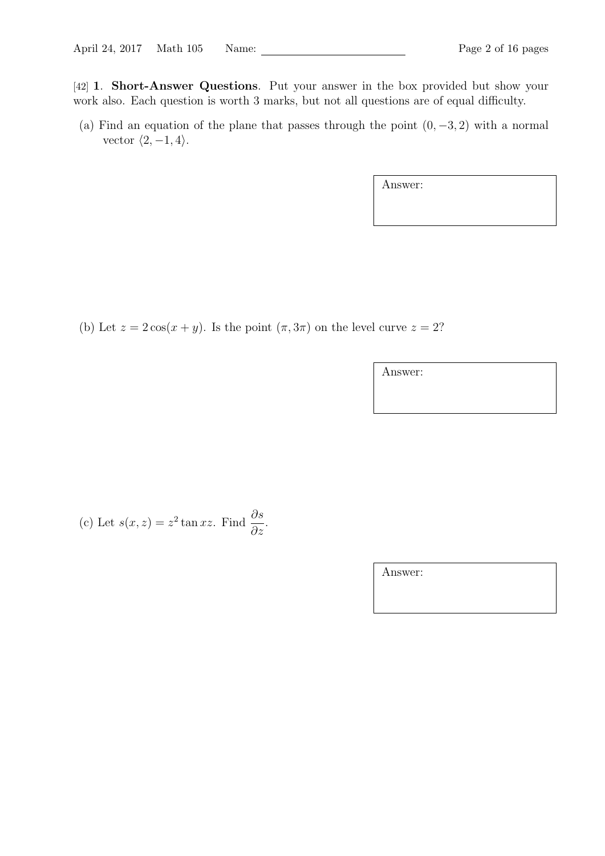[42] 1. Short-Answer Questions. Put your answer in the box provided but show your work also. Each question is worth 3 marks, but not all questions are of equal difficulty.

(a) Find an equation of the plane that passes through the point  $(0, -3, 2)$  with a normal vector  $\langle 2, -1, 4 \rangle$ .

Answer:

(b) Let  $z = 2\cos(x + y)$ . Is the point  $(\pi, 3\pi)$  on the level curve  $z = 2$ ?

Answer:

(c) Let 
$$
s(x, z) = z^2 \tan xz
$$
. Find  $\frac{\partial s}{\partial z}$ .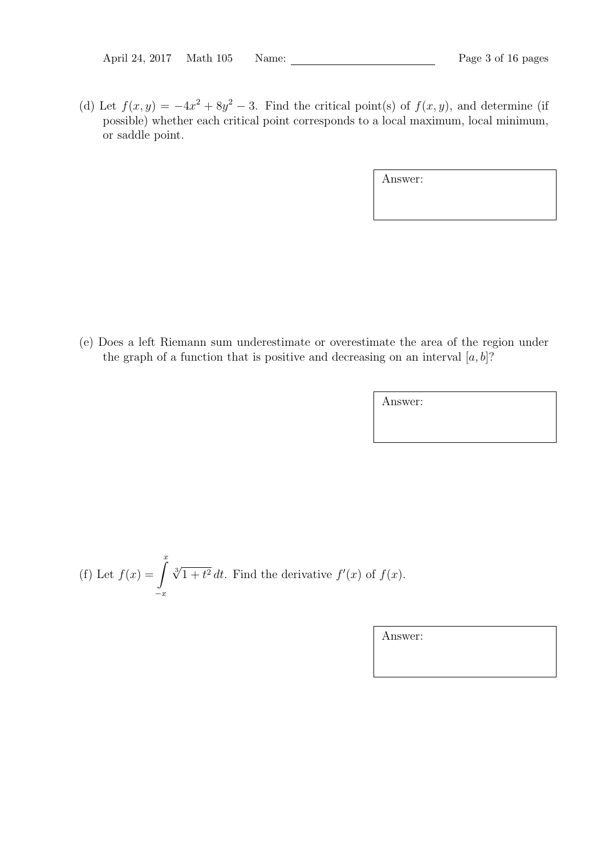(d) Let  $f(x,y) = -4x^2 + 8y^2 - 3$ . Find the critical point(s) of  $f(x, y)$ , and determine (if possible) whether each critical point corresponds to a local maximum, local minimum, or saddle point.

Answer:

(e) Does a left Riemann sum underestimate or overestimate the area of the region under the graph of a function that is positive and decreasing on an interval  $[a, b]$ ?

Answer:

(f) Let 
$$
f(x) = \int_{-x}^{x} \sqrt[3]{1+t^2} dt
$$
. Find the derivative  $f'(x)$  of  $f(x)$ .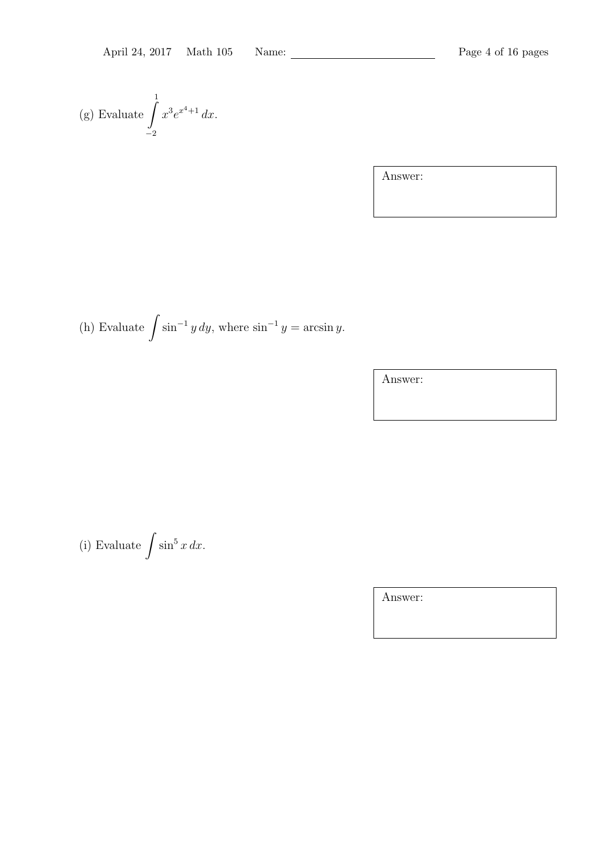(g) Evaluate 
$$
\int_{-2}^{1} x^3 e^{x^4+1} dx.
$$

(h) Evaluate  $\int \sin^{-1} y \, dy$ , where  $\sin^{-1} y = \arcsin y$ .

Answer:

(i) Evaluate  $\int \sin^5 x \, dx$ .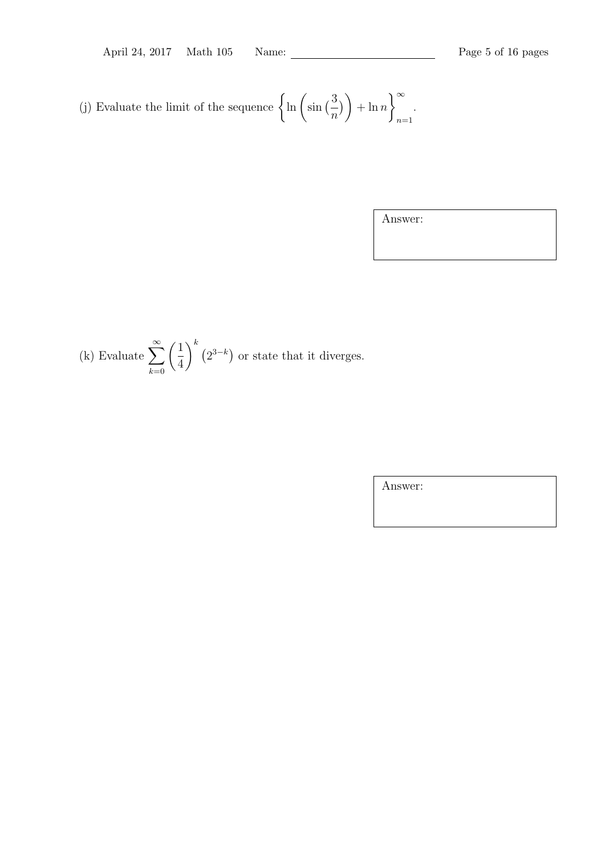(j) Evaluate the limit of the sequence  $\begin{cases} \ln \left( \sin \left( \frac{3}{2} \right) \right) \end{cases}$ n  $\binom{1}{k}$  $+\ln n$ <sup>∞</sup>  $n=1$ .

Answer:

(k) Evaluate 
$$
\sum_{k=0}^{\infty} \left(\frac{1}{4}\right)^k (2^{3-k})
$$
 or state that it diverges.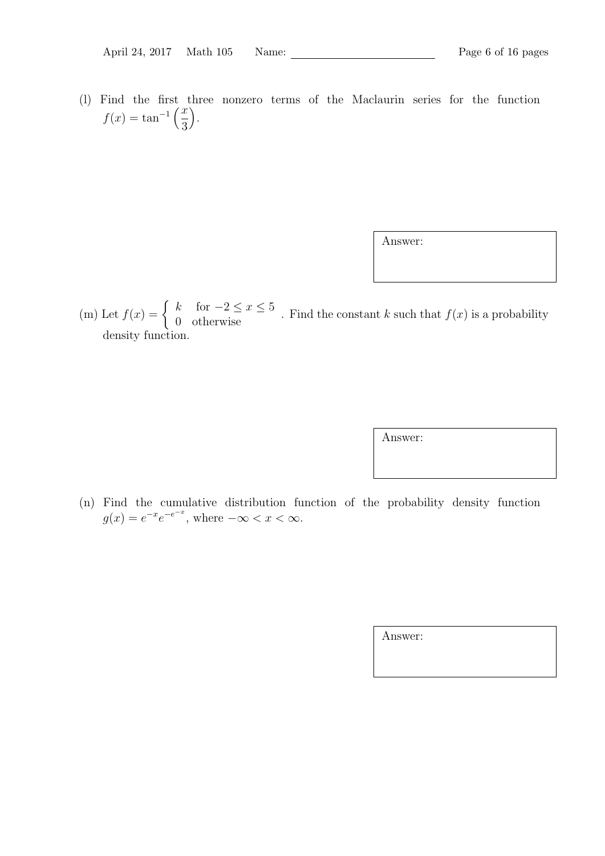(l) Find the first three nonzero terms of the Maclaurin series for the function  $f(x) = \tan^{-1}\left(\frac{x}{2}\right)$ 3 .

Answer:

(m) Let  $f(x) = \begin{cases} k & \text{for } -2 \leq x \leq 5 \\ 0 & \text{otherwise} \end{cases}$ . Find the constant k such that  $f(x)$  is a probability density function.

Answer:

(n) Find the cumulative distribution function of the probability density function  $g(x) = e^{-x}e^{-e^{-x}}$ , where  $-\infty < x < \infty$ .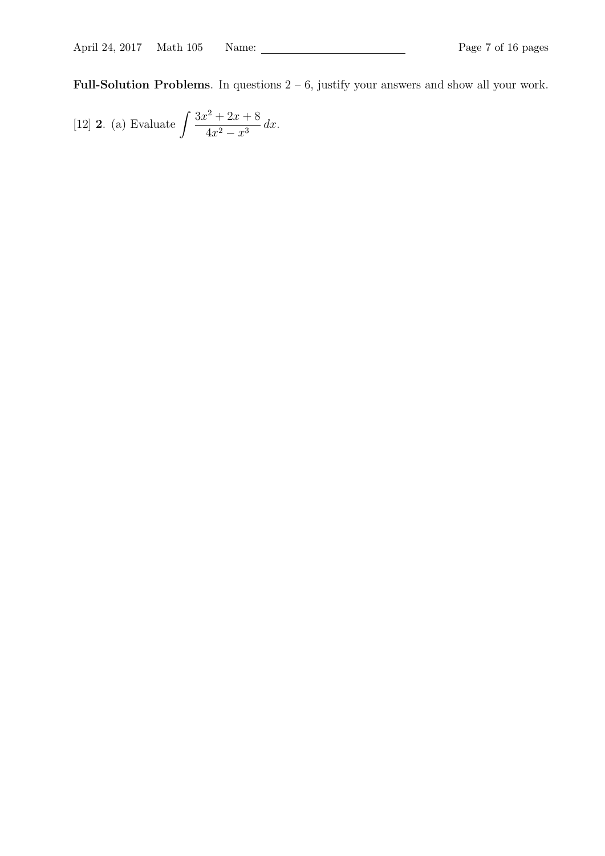Full-Solution Problems. In questions  $2 - 6$ , justify your answers and show all your work.

[12] **2.** (a) Evaluate 
$$
\int \frac{3x^2 + 2x + 8}{4x^2 - x^3} dx.
$$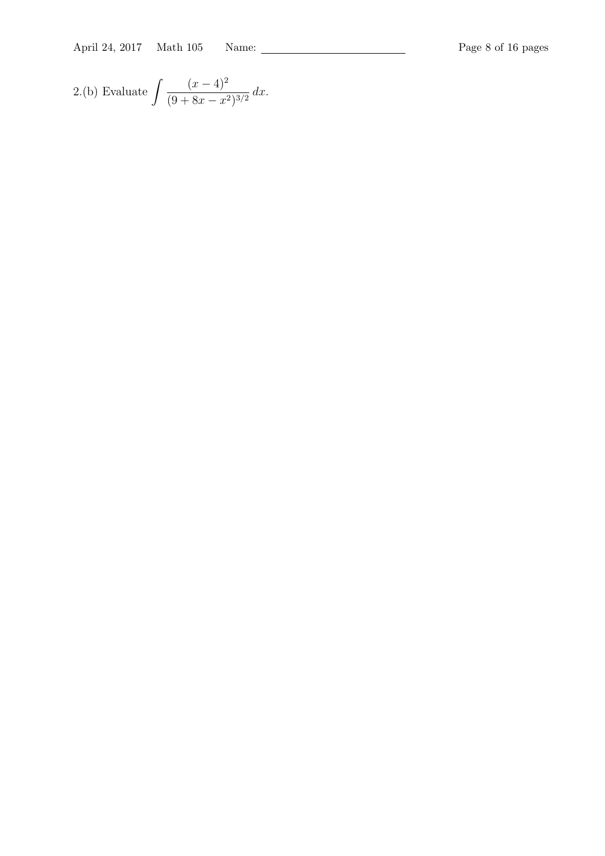April 24, 2017 Math 105 Name: Page 8 of 16 pages

2.(b) Evaluate 
$$
\int \frac{(x-4)^2}{(9+8x-x^2)^{3/2}} dx.
$$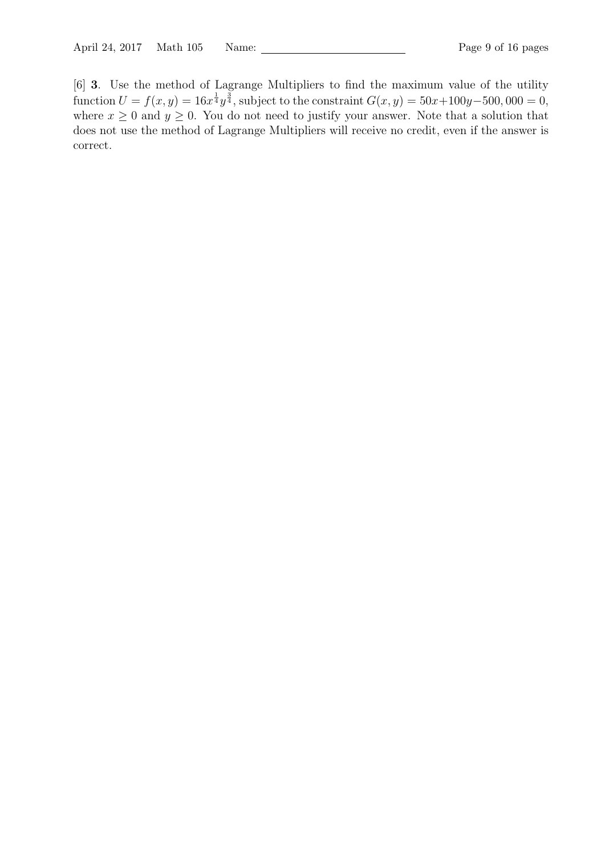[6] 3. Use the method of Lagrange Multipliers to find the maximum value of the utility function  $U = f(x, y) = 16x^{\frac{1}{4}}y^{\frac{3}{4}}$ , subject to the constraint  $G(x, y) = 50x + 100y - 500$ , 000 = 0, where  $x \geq 0$  and  $y \geq 0$ . You do not need to justify your answer. Note that a solution that does not use the method of Lagrange Multipliers will receive no credit, even if the answer is correct.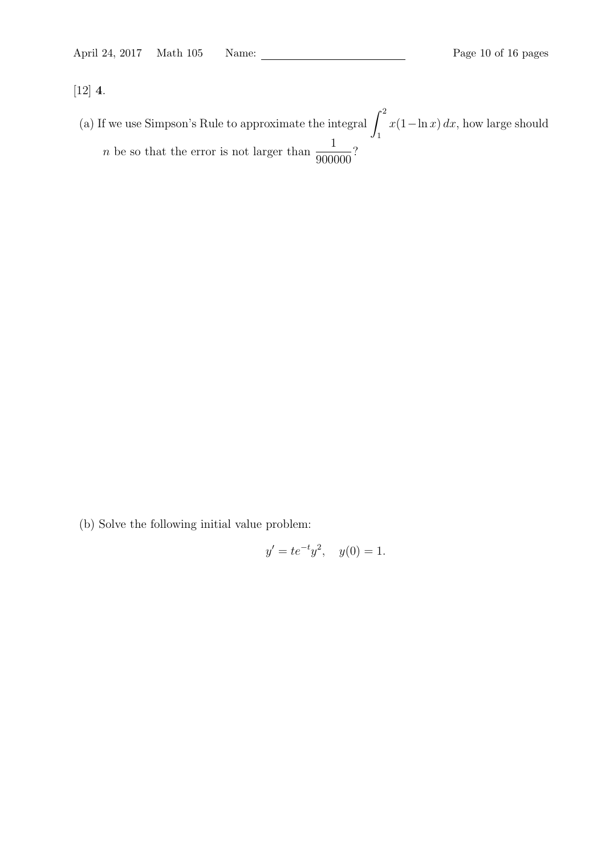[12] 4.

(a) If we use Simpson's Rule to approximate the integral  $\int_1^2$ 1  $x(1-\ln x) dx$ , how large should *n* be so that the error is not larger than  $\frac{1}{2000}$ 900000 ?

(b) Solve the following initial value problem:

$$
y' = te^{-t}y^2, \quad y(0) = 1.
$$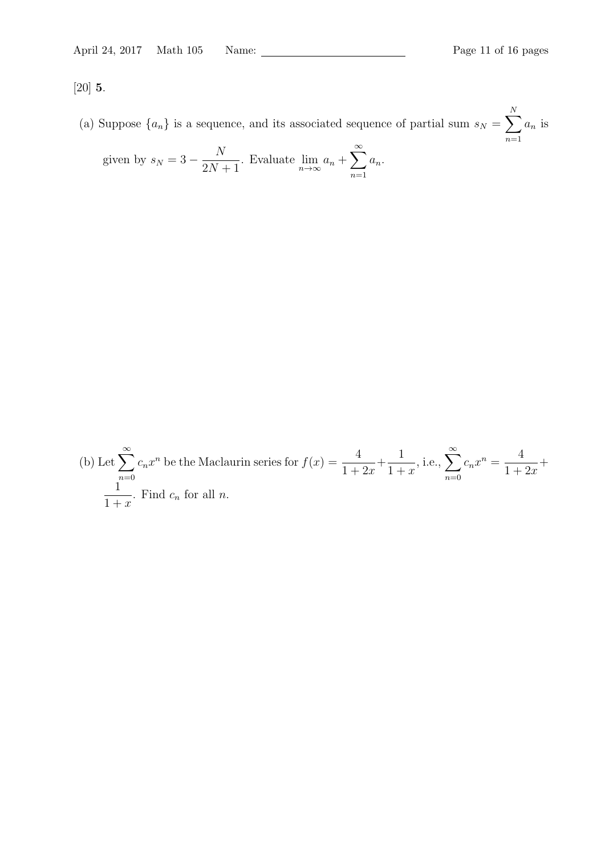[20] 5.

(a) Suppose  $\{a_n\}$  is a sequence, and its associated sequence of partial sum  $s_N = \sum$ N  $n=1$  $a_n$  is

given by 
$$
s_N = 3 - \frac{N}{2N+1}
$$
. Evaluate  $\lim_{n \to \infty} a_n + \sum_{n=1}^{\infty} a_n$ .

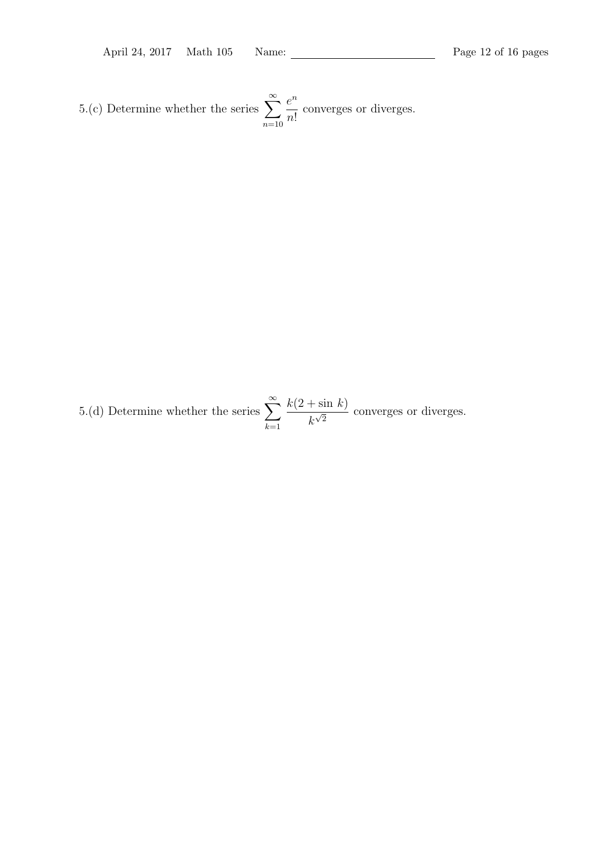5.(c) Determine whether the series  $\sum_{n=1}^{\infty}$  $n=10$  $e^n$  $n!$ converges or diverges.

5.(d) Determine whether the series  $\sum_{n=1}^{\infty}$  $k=1$  $k(2 + \sin k)$  $\frac{k\sqrt{2}}{k\sqrt{2}}$  converges or diverges.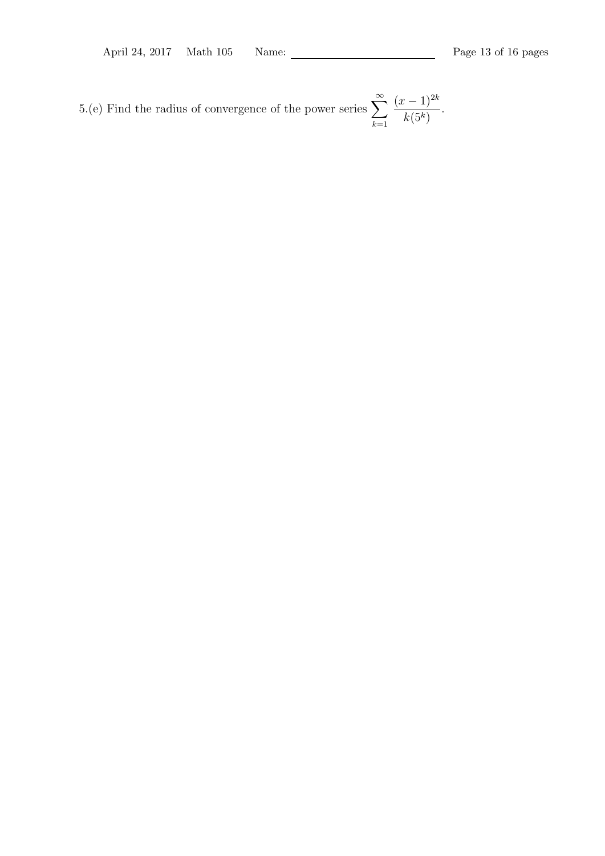5.(e) Find the radius of convergence of the power series  $\sum_{n=1}^{\infty}$  $k=1$  $(x-1)^{2k}$  $k(5^k)$ .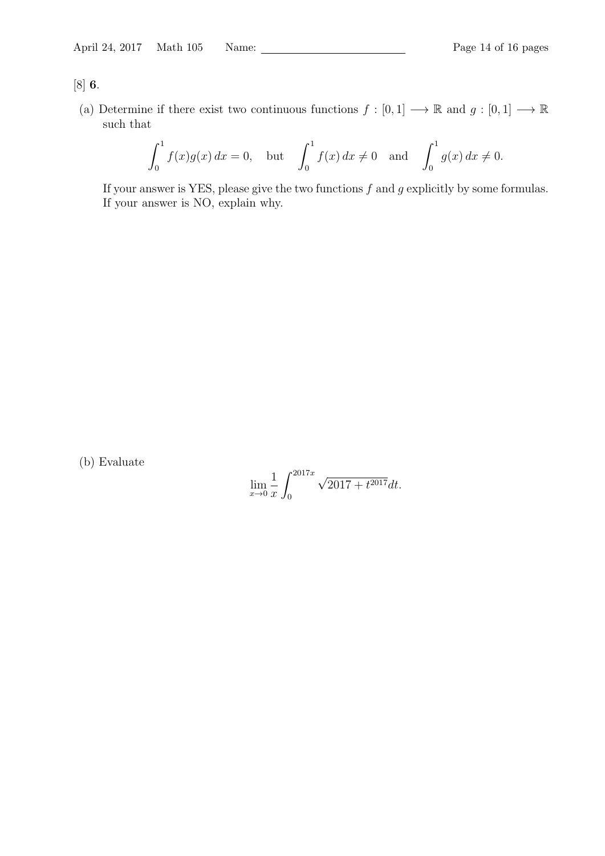## [8] 6.

(a) Determine if there exist two continuous functions  $f : [0,1] \longrightarrow \mathbb{R}$  and  $g : [0,1] \longrightarrow \mathbb{R}$ such that

$$
\int_0^1 f(x)g(x) dx = 0, \text{ but } \int_0^1 f(x) dx \neq 0 \text{ and } \int_0^1 g(x) dx \neq 0.
$$

If your answer is YES, please give the two functions  $f$  and  $g$  explicitly by some formulas. If your answer is NO, explain why.

(b) Evaluate

$$
\lim_{x \to 0} \frac{1}{x} \int_0^{2017x} \sqrt{2017 + t^{2017}} dt.
$$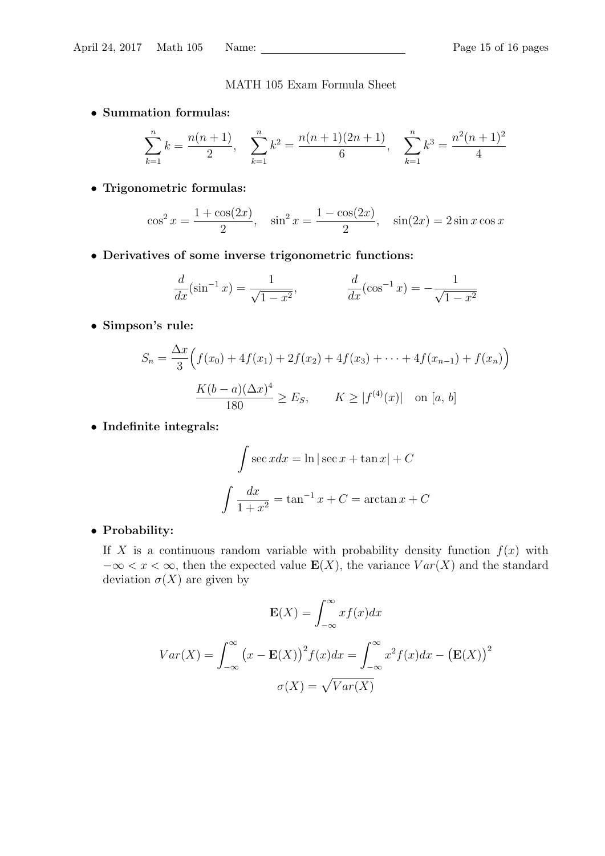### MATH 105 Exam Formula Sheet

• Summation formulas:

$$
\sum_{k=1}^{n} k = \frac{n(n+1)}{2}, \quad \sum_{k=1}^{n} k^2 = \frac{n(n+1)(2n+1)}{6}, \quad \sum_{k=1}^{n} k^3 = \frac{n^2(n+1)^2}{4}
$$

• Trigonometric formulas:

$$
\cos^2 x = \frac{1 + \cos(2x)}{2}, \quad \sin^2 x = \frac{1 - \cos(2x)}{2}, \quad \sin(2x) = 2\sin x \cos x
$$

• Derivatives of some inverse trigonometric functions:

$$
\frac{d}{dx}(\sin^{-1}x) = \frac{1}{\sqrt{1-x^2}}, \qquad \frac{d}{dx}(\cos^{-1}x) = -\frac{1}{\sqrt{1-x^2}}
$$

• Simpson's rule:

$$
S_n = \frac{\Delta x}{3} \Big( f(x_0) + 4f(x_1) + 2f(x_2) + 4f(x_3) + \dots + 4f(x_{n-1}) + f(x_n) \Big)
$$

$$
\frac{K(b-a)(\Delta x)^4}{180} \ge E_S, \qquad K \ge |f^{(4)}(x)| \quad \text{on } [a, b]
$$

• Indefinite integrals:

$$
\int \sec x dx = \ln|\sec x + \tan x| + C
$$

$$
\int \frac{dx}{1+x^2} = \tan^{-1} x + C = \arctan x + C
$$

### • Probability:

If X is a continuous random variable with probability density function  $f(x)$  with  $-\infty < x < \infty$ , then the expected value  $\mathbf{E}(X)$ , the variance  $Var(X)$  and the standard deviation  $\sigma(X)$  are given by

$$
\mathbf{E}(X) = \int_{-\infty}^{\infty} x f(x) dx
$$

$$
Var(X) = \int_{-\infty}^{\infty} (x - \mathbf{E}(X))^2 f(x) dx = \int_{-\infty}^{\infty} x^2 f(x) dx - (\mathbf{E}(X))^2
$$

$$
\sigma(X) = \sqrt{Var(X)}
$$